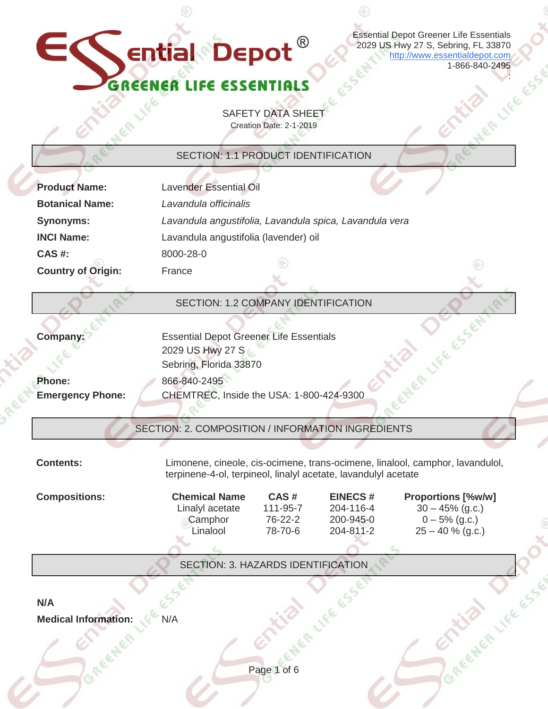Essential Depot Greener Life Essentials 2029 US Hwy 27 S, Sebring, FL 33870 [http://www.essentialdepot.com](http://www.essentialdepot.com/) 1-866-840-2495

 $\circledS$ 

## GREEN GREENER LIFE

ential Depot  $^\circ$ 

 $^{\circledR}$ 

EC

|                                                            |                                                                |                         |                | 1-866-840-2495                                                                |
|------------------------------------------------------------|----------------------------------------------------------------|-------------------------|----------------|-------------------------------------------------------------------------------|
| CT.                                                        |                                                                |                         |                |                                                                               |
|                                                            |                                                                |                         |                |                                                                               |
|                                                            |                                                                | <b>SAFETY DATA SHEE</b> |                |                                                                               |
|                                                            |                                                                | Creation Date: 2-1-2019 |                |                                                                               |
|                                                            |                                                                |                         |                |                                                                               |
|                                                            | SECTION: 1.1 PRODUCT IDENTIFICATION                            |                         |                |                                                                               |
| <b>Product Name:</b>                                       | <b>Lavender Essential Oil</b>                                  |                         |                |                                                                               |
| <b>Botanical Name:</b>                                     | Lavandula officinalis                                          |                         |                |                                                                               |
| <b>Synonyms:</b>                                           | Lavandula angustifolia, Lavandula spica, Lavandula vera        |                         |                |                                                                               |
|                                                            |                                                                |                         |                |                                                                               |
| <b>INCI Name:</b>                                          | Lavandula angustifolia (lavender) oil                          |                         |                |                                                                               |
| <b>CAS#:</b>                                               | 8000-28-0                                                      |                         |                |                                                                               |
| <b>Country of Origin:</b>                                  | France                                                         |                         |                |                                                                               |
|                                                            |                                                                |                         |                |                                                                               |
|                                                            | SECTION: 1.2 COMPANY IDENTIFICATION                            |                         |                |                                                                               |
|                                                            |                                                                |                         |                |                                                                               |
| Company:                                                   | <b>Essential Depot Greener Life Essentials</b>                 |                         |                |                                                                               |
|                                                            | 2029 US Hwy 27 S                                               |                         |                |                                                                               |
|                                                            | Sebring, Florida 33870                                         |                         |                |                                                                               |
| Phone:                                                     | 866-840-2495                                                   |                         |                |                                                                               |
| <b>Emergency Phone:</b>                                    | CHEMTREC, Inside the USA: 1-800-424-9300                       |                         |                |                                                                               |
|                                                            |                                                                |                         |                |                                                                               |
|                                                            | SECTION: 2. COMPOSITION / INFORMATION INGREDIENTS              |                         |                |                                                                               |
|                                                            |                                                                |                         |                |                                                                               |
| Contents:                                                  |                                                                |                         |                | Limonene, cineole, cis-ocimene, trans-ocimene, linalool, camphor, lavandulol, |
|                                                            | terpinene-4-ol, terpineol, linalyl acetate, lavandulyl acetate |                         |                |                                                                               |
|                                                            |                                                                |                         |                |                                                                               |
|                                                            | <b>Chemical Name</b>                                           | CAS#                    | <b>EINECS#</b> | <b>Proportions [%w/w]</b>                                                     |
|                                                            | Linalyl acetate                                                | 111-95-7                | 204-116-4      | $30 - 45\%$ (g.c.)                                                            |
|                                                            | Camphor                                                        | 76-22-2                 | 200-945-0      | $0 - 5\%$ (g.c.)                                                              |
|                                                            | Linalool                                                       | 78-70-6                 | 204-811-2      | $25 - 40 %$ (g.c.)                                                            |
|                                                            |                                                                |                         |                |                                                                               |
|                                                            | SECTION: 3. HAZARDS IDENTIFICATION                             |                         |                |                                                                               |
|                                                            |                                                                |                         |                |                                                                               |
|                                                            |                                                                |                         |                |                                                                               |
| <b>Compositions:</b><br>N/A<br><b>Medical Information:</b> | N/A                                                            |                         |                |                                                                               |
|                                                            |                                                                |                         |                |                                                                               |
|                                                            |                                                                |                         |                | CHER LIFE ESSE                                                                |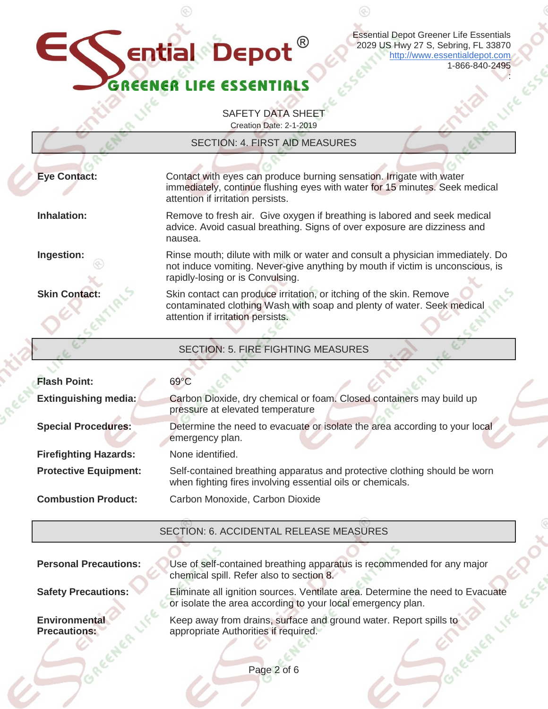### $\mathbf \in$ ential Depot® ER

Essential Depot Greener Life Essentials 2029 US Hwy 27 S, Sebring, FL 33870 [http://www.essentialdepot.com](http://www.essentialdepot.com/) 1-866-840-2495

⊛

:

LIFE

SAFETY DATA SHEET Creation Date: 2-1-2019

|                              | <b>SECTION: 4. FIRST AID MEASURES</b>                                                                                                                                                                |
|------------------------------|------------------------------------------------------------------------------------------------------------------------------------------------------------------------------------------------------|
| <b>Eye Contact:</b>          | Contact with eyes can produce burning sensation. Irrigate with water<br>immediately, continue flushing eyes with water for 15 minutes. Seek medical<br>attention if irritation persists.             |
| Inhalation:                  | Remove to fresh air. Give oxygen if breathing is labored and seek medical<br>advice. Avoid casual breathing. Signs of over exposure are dizziness and<br>nausea.                                     |
| Ingestion:                   | Rinse mouth; dilute with milk or water and consult a physician immediately. Do<br>not induce vomiting. Never-give anything by mouth if victim is unconscious, is<br>rapidly-losing or is Convulsing. |
| <b>Skin Contact:</b>         | Skin contact can produce irritation, or itching of the skin. Remove<br>contaminated clothing Wash with soap and plenty of water. Seek medical<br>attention if irritation persists.                   |
|                              | <b>SECTION: 5. FIRE FIGHTING MEASURES</b>                                                                                                                                                            |
|                              |                                                                                                                                                                                                      |
| <b>Flash Point:</b>          | $69^{\circ}$ C                                                                                                                                                                                       |
| <b>Extinguishing media:</b>  | Carbon Dioxide, dry chemical or foam. Closed containers may build up<br>pressure at elevated temperature                                                                                             |
| <b>Special Procedures:</b>   | Determine the need to evacuate or isolate the area according to your local<br>emergency plan.                                                                                                        |
| <b>Firefighting Hazards:</b> | None identified.                                                                                                                                                                                     |
| <b>Protective Equipment:</b> | Self-contained breathing apparatus and protective clothing should be worn<br>when fighting fires involving essential oils or chemicals.                                                              |
| <b>Combustion Product:</b>   | Carbon Monoxide, Carbon Dioxide                                                                                                                                                                      |
|                              | SECTION: 6 ACCIDENTAL RELEASE MEASURES                                                                                                                                                               |

SECTION: 6. ACCIDENTAL RELEASE MEASURES

**Personal Precautions:** Use of self-contained breathing apparatus is recommended for any major chemical spill. Refer also to section 8. **Safety Precautions:** Eliminate all ignition sources. Ventilate area. Determine the need to Evacuate or isolate the area according to your local emergency plan. **Environmental Precautions:** Keep away from drains, surface and ground water. Report spills to appropriate Authorities if required.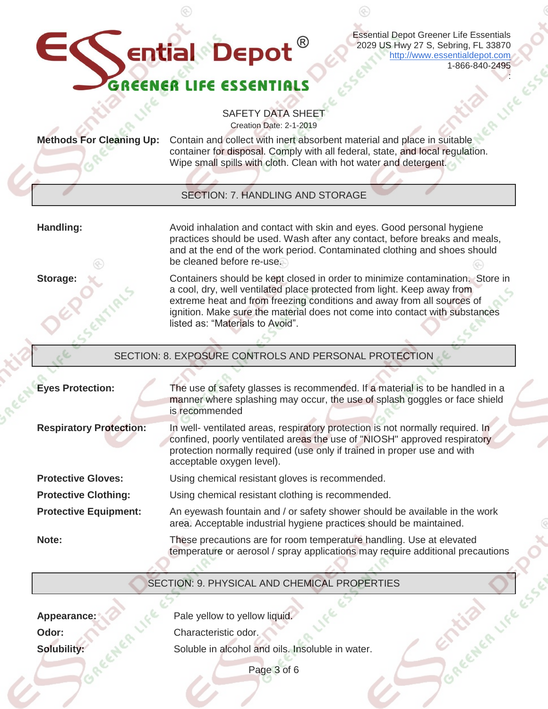Essential Depot Greener Life Essentials 2029 US Hwy 27 S, Sebring, FL 33870 [http://www.essentialdepot.com](http://www.essentialdepot.com/) 1-866-840-2495

:

SAFETY DATA SHEET Creation Date: 2-1-2019

**Ential Depot**<sup>®</sup>

**Methods For Cleaning Up:** Contain and collect with inert absorbent material and place in suitable container for disposal. Comply with all federal, state, and local regulation. Wipe small spills with cloth. Clean with hot water and detergent.

#### SECTION: 7. HANDLING AND STORAGE

**Handling:** Avoid inhalation and contact with skin and eyes. Good personal hygiene practices should be used. Wash after any contact, before breaks and meals, and at the end of the work period. Contaminated clothing and shoes should be cleaned before re-use.

**Storage:** Containers should be kept closed in order to minimize contamination. Store in a cool, dry, well ventilated place protected from light. Keep away from extreme heat and from freezing conditions and away from all sources of ignition. Make sure the material does not come into contact with substances listed as: "Materials to Avoid".

#### SECTION: 8. EXPOSURE CONTROLS AND PERSONAL PROTECTION

| <b>Eyes Protection:</b>        | The use of safety glasses is recommended. If a material is to be handled in a<br>manner where splashing may occur, the use of splash goggles or face shield<br>is recommended                                                                                        |
|--------------------------------|----------------------------------------------------------------------------------------------------------------------------------------------------------------------------------------------------------------------------------------------------------------------|
| <b>Respiratory Protection:</b> | In well- ventilated areas, respiratory protection is not normally required. In<br>confined, poorly ventilated areas the use of "NIOSH" approved respiratory<br>protection normally required (use only if trained in proper use and with<br>acceptable oxygen level). |
| <b>Protective Gloves:</b>      | Using chemical resistant gloves is recommended.                                                                                                                                                                                                                      |
| <b>Protective Clothing:</b>    | Using chemical resistant clothing is recommended.                                                                                                                                                                                                                    |
| <b>Protective Equipment:</b>   | An eyewash fountain and / or safety shower should be available in the work<br>area. Acceptable industrial hygiene practices should be maintained.                                                                                                                    |
| Note:                          | These precautions are for room temperature handling. Use at elevated<br>temperature or aerosol / spray applications may require additional precautions                                                                                                               |

#### SECTION: 9. PHYSICAL AND CHEMICAL PROPERTIES

**Appearance: Pale yellow to yellow liquid.** 

**Odor:** Characteristic odor.

**Solubility:** Soluble in alcohol and oils. Insoluble in water.

Page 3 of 6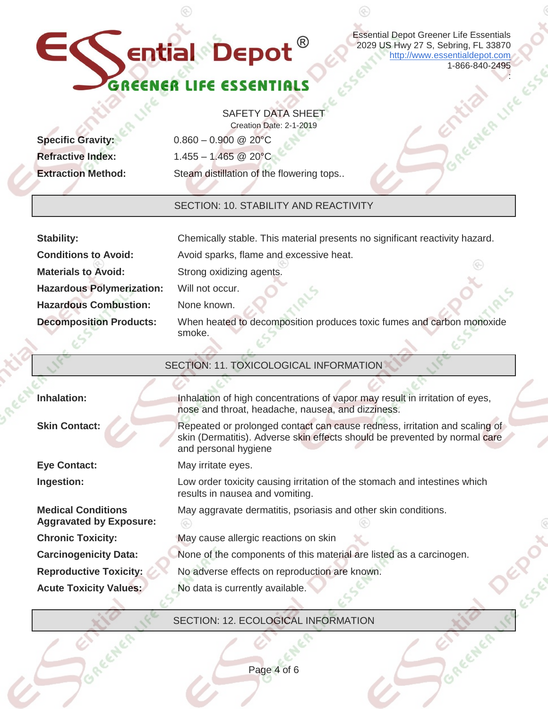| <b>Essential Depot Greener Life Essentials</b>                                                                                                                                   |
|----------------------------------------------------------------------------------------------------------------------------------------------------------------------------------|
| $\bullet$ ential $\bullet$ Depot $^\circ$<br>2029 US Hwy 27 S, Sebring, FL 33870<br>http://www.essentialdepot.com                                                                |
| 1-866-840-2495                                                                                                                                                                   |
| GREENER LIFE ESSEN                                                                                                                                                               |
| <b>SAFETY DATA SHEE</b>                                                                                                                                                          |
| Creation Date: 2-1-2019                                                                                                                                                          |
| $0.860 - 0.900$ @ 20°C                                                                                                                                                           |
| $1.455 - 1.465$ @ 20°C                                                                                                                                                           |
| Steam distillation of the flowering tops                                                                                                                                         |
| <b>SECTION: 10. STABILITY AND REACTIVITY</b>                                                                                                                                     |
|                                                                                                                                                                                  |
| Chemically stable. This material presents no significant reactivity hazard.                                                                                                      |
| Avoid sparks, flame and excessive heat.                                                                                                                                          |
| Strong oxidizing agents.                                                                                                                                                         |
| Will not occur.                                                                                                                                                                  |
| None known.                                                                                                                                                                      |
| When heated to decomposition produces toxic fumes and carbon monoxide<br>smoke.                                                                                                  |
|                                                                                                                                                                                  |
| SECTION: 11. TOXICOLOGICAL INFORMATION                                                                                                                                           |
|                                                                                                                                                                                  |
| Inhalation of high concentrations of vapor may result in irritation of eyes,<br>nose and throat, headache, nausea, and dizziness.                                                |
| Repeated or prolonged contact can cause redness, irritation and scaling of<br>skin (Dermatitis). Adverse skin effects should be prevented by normal care<br>and personal hygiene |
| May irritate eyes.                                                                                                                                                               |
| Low order toxicity causing irritation of the stomach and intestines which<br>results in nausea and vomiting.                                                                     |
| May aggravate dermatitis, psoriasis and other skin conditions.                                                                                                                   |
| May cause allergic reactions on skin                                                                                                                                             |
| None of the components of this material are listed as a carcinogen.                                                                                                              |
| No adverse effects on reproduction are known.                                                                                                                                    |
| No data is currently available.                                                                                                                                                  |
|                                                                                                                                                                                  |
| SECTION: 12. ECOLOGICAL INFORMATION                                                                                                                                              |
|                                                                                                                                                                                  |
|                                                                                                                                                                                  |
|                                                                                                                                                                                  |

#### SECTION: 12. ECOLOGICAL INFORMATION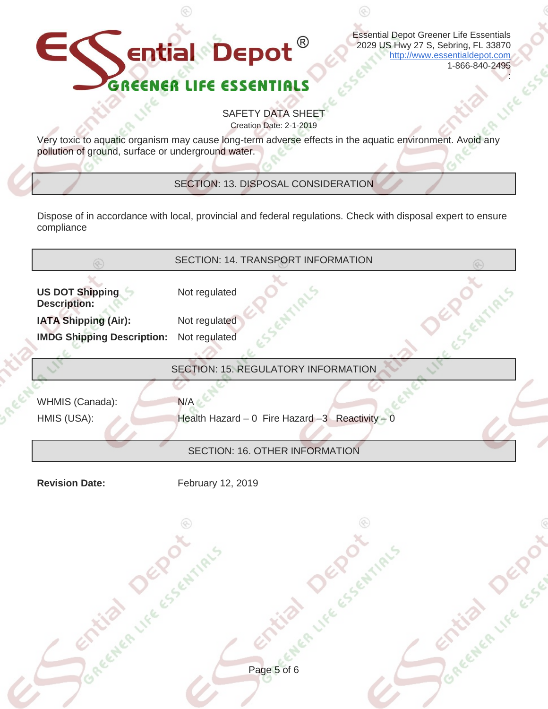#### $\mathbf \in$  $^{\circledR}$ **Ential Depot** GREE LIFE ER

Essential Depot Greener Life Essentials 2029 US Hwy 27 S, Sebring, FL 33870 [http://www.essentialdepot.com](http://www.essentialdepot.com/) 1-866-840-2495

:

SAFETY DATA SHEET Creation Date: 2-1-2019

Very toxic to aquatic organism may cause long-term adverse effects in the aquatic environment. Avoid any pollution of ground, surface or underground water.

SECTION: 13. DISPOSAL CONSIDERATION

Dispose of in accordance with local, provincial and federal regulations. Check with disposal expert to ensure compliance

| ∞                                             | SECTION: 14. TRANSPORT INFORMATION               |
|-----------------------------------------------|--------------------------------------------------|
| <b>US DOT Shipping</b><br><b>Description:</b> | S CENTIALS<br>Not regulated                      |
| <b>IATA Shipping (Air):</b>                   | Not regulated                                    |
| <b>IMDG Shipping Description:</b>             | Not regulated                                    |
|                                               | SECTION: 15. REGULATORY INFORMATION              |
| WHMIS (Canada):                               | N/A                                              |
| HMIS (USA):                                   | Health Hazard - 0 Fire Hazard - 3 Reactivity - 0 |
|                                               |                                                  |
|                                               | SECTION: 16. OTHER INFORMATION                   |
| <b>Revision Date:</b>                         | February 12, 2019                                |
|                                               | ⊛                                                |
| CITLEB LIFE CS CHILD'S                        | <b>SER DEROT</b>                                 |
|                                               | Strugge Lee Lee                                  |
|                                               |                                                  |
|                                               |                                                  |
|                                               |                                                  |
|                                               |                                                  |
|                                               |                                                  |
|                                               | Page 5 of 6                                      |
|                                               |                                                  |